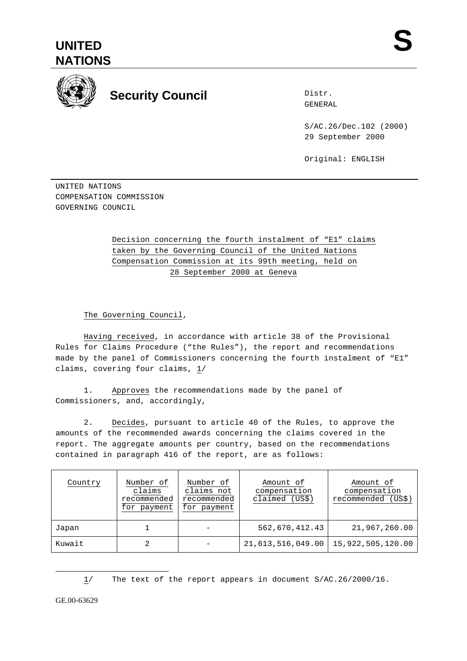



## **Security Council**

Distr. GENERAL

S/AC.26/Dec.102 (2000) 29 September 2000

Original: ENGLISH

UNITED NATIONS COMPENSATION COMMISSION GOVERNING COUNCIL

> Decision concerning the fourth instalment of "E1" claims taken by the Governing Council of the United Nations Compensation Commission at its 99th meeting, held on 28 September 2000 at Geneva

The Governing Council,

Having received, in accordance with article 38 of the Provisional Rules for Claims Procedure ("the Rules"), the report and recommendations made by the panel of Commissioners concerning the fourth instalment of "E1" claims, covering four claims, 1/

1. Approves the recommendations made by the panel of Commissioners, and, accordingly,

2. Decides, pursuant to article 40 of the Rules, to approve the amounts of the recommended awards concerning the claims covered in the report. The aggregate amounts per country, based on the recommendations contained in paragraph 416 of the report, are as follows:

| Country | Number of<br>claims<br>recommended<br>for payment | Number of<br>claims not<br>recommended<br>for payment | Amount of<br>compensation<br>claimed (US\$) | Amount of<br>compensation<br>(US\$<br>recommended |
|---------|---------------------------------------------------|-------------------------------------------------------|---------------------------------------------|---------------------------------------------------|
| Japan   |                                                   |                                                       | 562,670,412.43                              | 21,967,260.00                                     |
| Kuwait  |                                                   |                                                       | 21,613,516,049.00                           | 15,922,505,120.00                                 |

1/ The text of the report appears in document S/AC.26/2000/16.

GE.00-63629

 $\overline{a}$